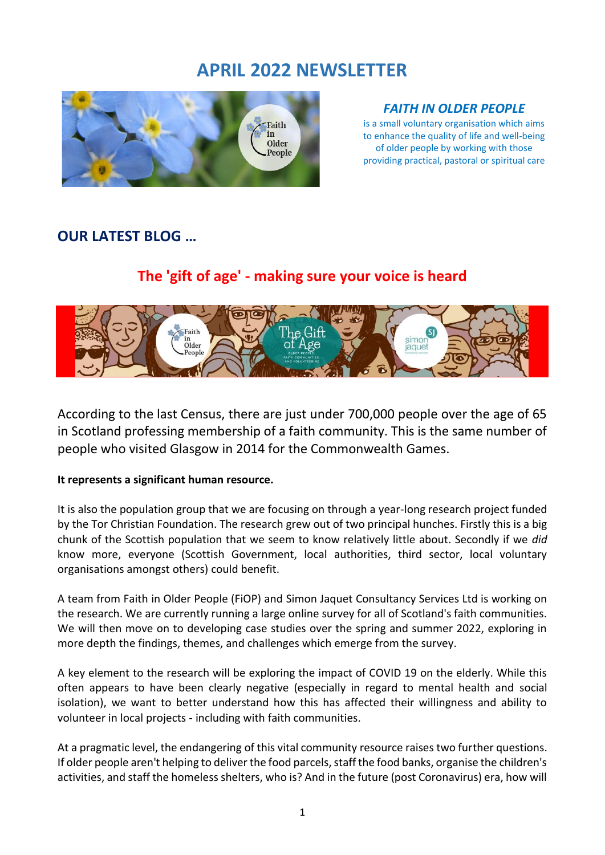# **APRIL 2022 NEWSLETTER**



# *FAITH IN OLDER PEOPLE*

is a small voluntary organisation which aims to enhance the quality of life and well-being of older people by working with those providing practical, pastoral or spiritual care

# **OUR LATEST BLOG …**

# **The 'gift of age' - making sure your voice is heard**



According to the last Census, there are just under 700,000 people over the age of 65 in Scotland professing membership of a faith community. This is the same number of people who visited Glasgow in 2014 for the Commonwealth Games.

### **It represents a significant human resource.**

It is also the population group that we are focusing on through a year-long research project funded by the Tor Christian Foundation. The research grew out of two principal hunches. Firstly this is a big chunk of the Scottish population that we seem to know relatively little about. Secondly if we *did* know more, everyone (Scottish Government, local authorities, third sector, local voluntary organisations amongst others) could benefit.

A team from Faith in Older People (FiOP) and Simon Jaquet Consultancy Services Ltd is working on the research. We are currently running a large online survey for all of Scotland's faith communities. We will then move on to developing case studies over the spring and summer 2022, exploring in more depth the findings, themes, and challenges which emerge from the survey.

A key element to the research will be exploring the impact of COVID 19 on the elderly. While this often appears to have been clearly negative (especially in regard to mental health and social isolation), we want to better understand how this has affected their willingness and ability to volunteer in local projects - including with faith communities.

At a pragmatic level, the endangering of this vital community resource raises two further questions. If older people aren't helping to deliver the food parcels, staff the food banks, organise the children's activities, and staff the homeless shelters, who is? And in the future (post Coronavirus) era, how will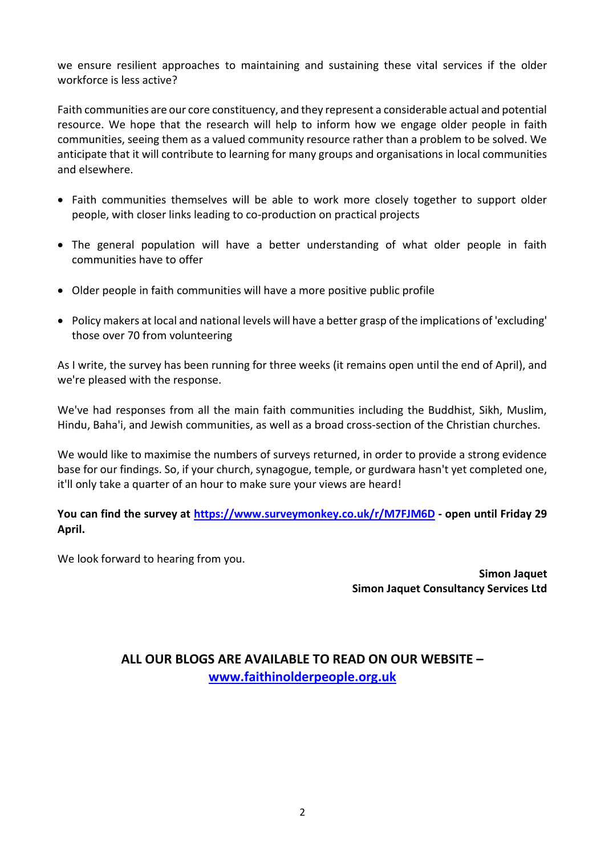we ensure resilient approaches to maintaining and sustaining these vital services if the older workforce is less active?

Faith communities are our core constituency, and they represent a considerable actual and potential resource. We hope that the research will help to inform how we engage older people in faith communities, seeing them as a valued community resource rather than a problem to be solved. We anticipate that it will contribute to learning for many groups and organisations in local communities and elsewhere.

- Faith communities themselves will be able to work more closely together to support older people, with closer links leading to co-production on practical projects
- The general population will have a better understanding of what older people in faith communities have to offer
- Older people in faith communities will have a more positive public profile
- Policy makers at local and national levels will have a better grasp of the implications of 'excluding' those over 70 from volunteering

As I write, the survey has been running for three weeks (it remains open until the end of April), and we're pleased with the response.

We've had responses from all the main faith communities including the Buddhist, Sikh, Muslim, Hindu, Baha'i, and Jewish communities, as well as a broad cross-section of the Christian churches.

We would like to maximise the numbers of surveys returned, in order to provide a strong evidence base for our findings. So, if your church, synagogue, temple, or gurdwara hasn't yet completed one, it'll only take a quarter of an hour to make sure your views are heard!

**You can find the survey at<https://www.surveymonkey.co.uk/r/M7FJM6D> - open until Friday 29 April.** 

We look forward to hearing from you.

**Simon Jaquet Simon Jaquet Consultancy Services Ltd**

# **ALL OUR BLOGS ARE AVAILABLE TO READ ON OUR WEBSITE – [www.faithinolderpeople.org.uk](http://www.faithinolderpeople.org.uk/)**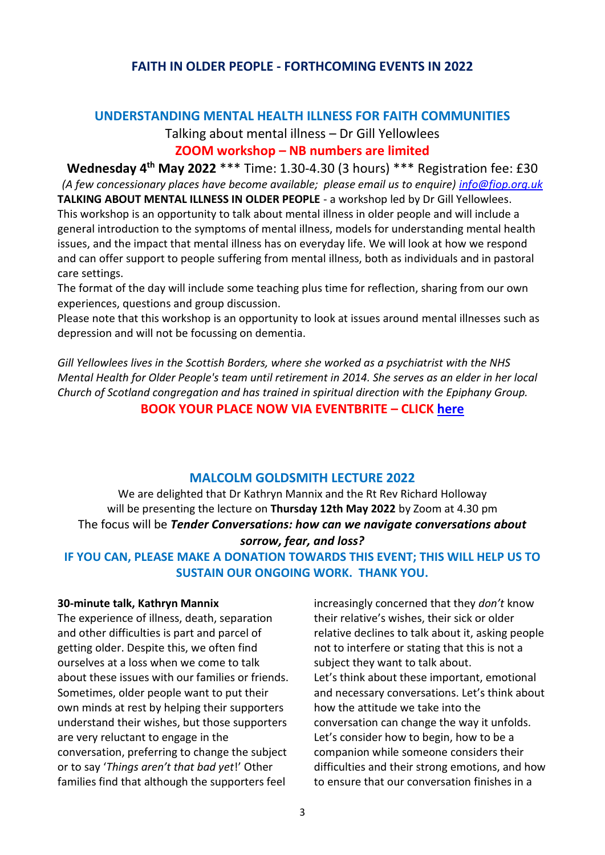### **FAITH IN OLDER PEOPLE - FORTHCOMING EVENTS IN 2022**

#### **UNDERSTANDING MENTAL HEALTH ILLNESS FOR FAITH COMMUNITIES**

# Talking about mental illness – Dr Gill Yellowlees

### **ZOOM workshop – NB numbers are limited**

**Wednesday 4 th May 2022** \*\*\* Time: 1.30-4.30 (3 hours) \*\*\* Registration fee: £30 *(A few concessionary places have become available; please email us to enquire) [info@fiop.org.uk](mailto:info@fiop.org.uk)* **TALKING ABOUT MENTAL ILLNESS IN OLDER PEOPLE** - a workshop led by Dr Gill Yellowlees. This workshop is an opportunity to talk about mental illness in older people and will include a general introduction to the symptoms of mental illness, models for understanding mental health issues, and the impact that mental illness has on everyday life. We will look at how we respond and can offer support to people suffering from mental illness, both as individuals and in pastoral care settings.

The format of the day will include some teaching plus time for reflection, sharing from our own experiences, questions and group discussion.

Please note that this workshop is an opportunity to look at issues around mental illnesses such as depression and will not be focussing on dementia.

*Gill Yellowlees lives in the Scottish Borders, where she worked as a psychiatrist with the NHS Mental Health for Older People's team until retirement in 2014. She serves as an elder in her local Church of Scotland congregation and has trained in spiritual direction with the Epiphany Group.*

**BOOK YOUR PLACE NOW VIA EVENTBRITE – CLICK [here](https://www.eventbrite.co.uk/e/understanding-mental-health-illness-for-faith-communities-tickets-316314273507)**

#### **MALCOLM GOLDSMITH LECTURE 2022**

We are delighted that Dr Kathryn Mannix and the Rt Rev Richard Holloway will be presenting the lecture on **Thursday 12th May 2022** by Zoom at 4.30 pm The focus will be *Tender Conversations: how can we navigate conversations about sorrow, fear, and loss?*

**IF YOU CAN, PLEASE MAKE A DONATION TOWARDS THIS EVENT; THIS WILL HELP US TO SUSTAIN OUR ONGOING WORK. THANK YOU.**

#### **30-minute talk, Kathryn Mannix**

The experience of illness, death, separation and other difficulties is part and parcel of getting older. Despite this, we often find ourselves at a loss when we come to talk about these issues with our families or friends. Sometimes, older people want to put their own minds at rest by helping their supporters understand their wishes, but those supporters are very reluctant to engage in the conversation, preferring to change the subject or to say '*Things aren't that bad yet*!' Other families find that although the supporters feel

increasingly concerned that they *don't* know their relative's wishes, their sick or older relative declines to talk about it, asking people not to interfere or stating that this is not a subject they want to talk about. Let's think about these important, emotional and necessary conversations. Let's think about how the attitude we take into the conversation can change the way it unfolds. Let's consider how to begin, how to be a companion while someone considers their difficulties and their strong emotions, and how to ensure that our conversation finishes in a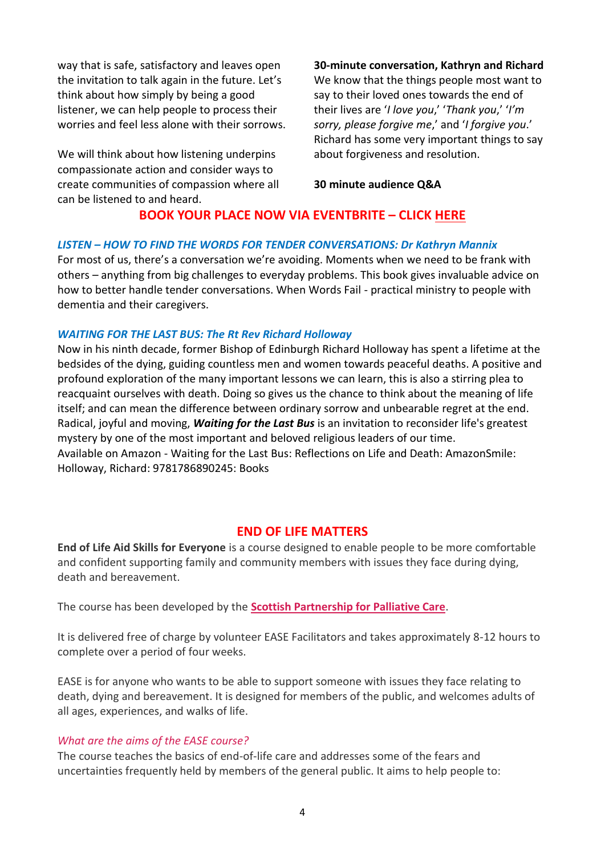way that is safe, satisfactory and leaves open the invitation to talk again in the future. Let's think about how simply by being a good listener, we can help people to process their worries and feel less alone with their sorrows.

We will think about how listening underpins compassionate action and consider ways to create communities of compassion where all can be listened to and heard.

**30-minute conversation, Kathryn and Richard**

We know that the things people most want to say to their loved ones towards the end of their lives are '*I love you*,' '*Thank you*,' '*I'm sorry, please forgive me*,' and '*I forgive you*.' Richard has some very important things to say about forgiveness and resolution.

**30 minute audience Q&A**

### **BOOK YOUR PLACE NOW VIA EVENTBRITE – CLICK [HERE](https://www.eventbrite.co.uk/e/the-2022-malcolm-goldsmith-lecture-kathryn-mannix-rt-rev-richard-holloway-tickets-274201182117)**

#### *LISTEN – HOW TO FIND THE WORDS FOR TENDER CONVERSATIONS: Dr Kathryn Mannix*

For most of us, there's a conversation we're avoiding. Moments when we need to be frank with others – anything from big challenges to everyday problems. This book gives invaluable advice on how to better handle tender conversations. When Words Fail - practical ministry to people with dementia and their caregivers.

#### *WAITING FOR THE LAST BUS: The Rt Rev Richard Holloway*

Now in his ninth decade, former Bishop of Edinburgh Richard Holloway has spent a lifetime at the bedsides of the dying, guiding countless men and women towards peaceful deaths. A positive and profound exploration of the many important lessons we can learn, this is also a stirring plea to reacquaint ourselves with death. Doing so gives us the chance to think about the meaning of life itself; and can mean the difference between ordinary sorrow and unbearable regret at the end. Radical, joyful and moving, *Waiting for the Last Bus* is an invitation to reconsider life's greatest mystery by one of the most important and beloved religious leaders of our time. Available on Amazon - Waiting for the Last Bus: Reflections on Life and Death: AmazonSmile: Holloway, Richard: 9781786890245: Books

### **END OF LIFE MATTERS**

**End of Life Aid Skills for Everyone** is a course designed to enable people to be more comfortable and confident supporting family and community members with issues they face during dying, death and bereavement.

The course has been developed by the **[Scottish Partnership for Palliative Care](https://www.palliativecarescotland.org.uk/)**.

It is delivered free of charge by volunteer EASE Facilitators and takes approximately 8-12 hours to complete over a period of four weeks.

EASE is for anyone who wants to be able to support someone with issues they face relating to death, dying and bereavement. It is designed for members of the public, and welcomes adults of all ages, experiences, and walks of life.

#### *What are the aims of the EASE course?*

The course teaches the basics of end-of-life care and addresses some of the fears and uncertainties frequently held by members of the general public. It aims to help people to: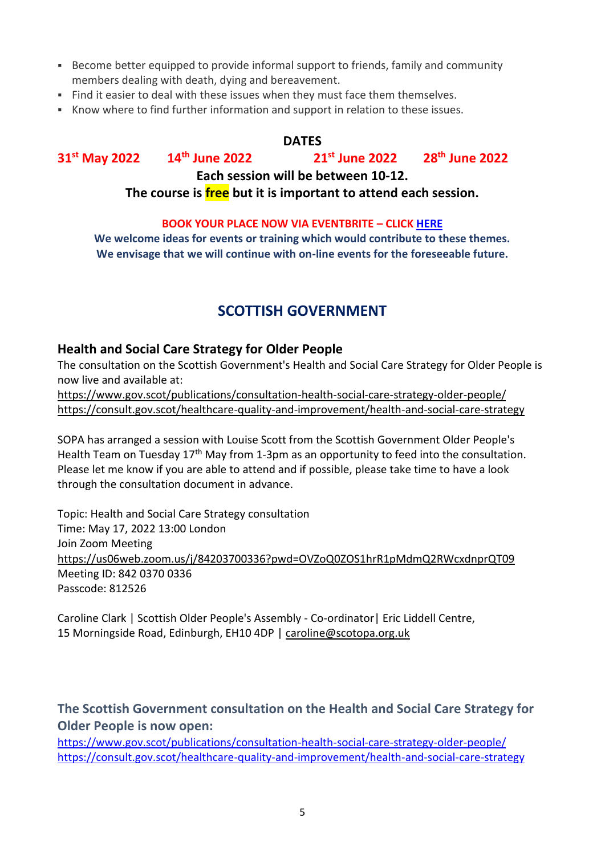- **Become better equipped to provide informal support to friends, family and community** members dealing with death, dying and bereavement.
- **EXICT FIND IT EXECTS THE INTE THE ISLE ISSUES** when they must face them themselves.
- Know where to find further information and support in relation to these issues.

#### **DATES**

**31st May 2022 14th June 2022 21st June 2022 28th June 2022**

**Each session will be between 10-12.**

**The course is free but it is important to attend each session.**

#### **BOOK YOUR PLACE NOW VIA EVENTBRITE – CLIC[K HERE](https://www.eventbrite.co.uk/e/end-of-life-skills-for-everyone-ease-tickets-318696528897)**

**We welcome ideas for events or training which would contribute to these themes. We envisage that we will continue with on-line events for the foreseeable future.**

# **SCOTTISH GOVERNMENT**

### **Health and Social Care Strategy for Older People**

The consultation on the Scottish Government's Health and Social Care Strategy for Older People is now live and available at:

<https://www.gov.scot/publications/consultation-health-social-care-strategy-older-people/> <https://consult.gov.scot/healthcare-quality-and-improvement/health-and-social-care-strategy>

SOPA has arranged a session with Louise Scott from the Scottish Government Older People's Health Team on Tuesday 17<sup>th</sup> May from 1-3pm as an opportunity to feed into the consultation. Please let me know if you are able to attend and if possible, please take time to have a look through the consultation document in advance.

Topic: Health and Social Care Strategy consultation Time: May 17, 2022 13:00 London Join Zoom Meeting <https://us06web.zoom.us/j/84203700336?pwd=OVZoQ0ZOS1hrR1pMdmQ2RWcxdnprQT09> Meeting ID: 842 0370 0336 Passcode: 812526

Caroline Clark | Scottish Older People's Assembly - Co-ordinator| Eric Liddell Centre, 15 Morningside Road, Edinburgh, EH10 4DP | [caroline@scotopa.org.uk](mailto:caroline@scotopa.org.uk)

**The Scottish Government consultation on the Health and Social Care Strategy for Older People is now open:**

<https://www.gov.scot/publications/consultation-health-social-care-strategy-older-people/> <https://consult.gov.scot/healthcare-quality-and-improvement/health-and-social-care-strategy>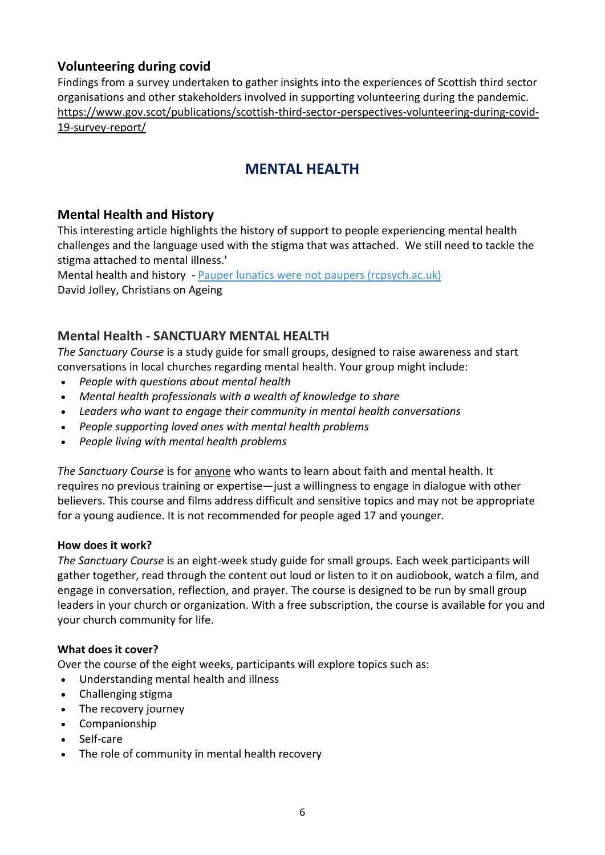# **Volunteering during covid**

Findings from a survey undertaken to gather insights into the experiences of Scottish third sector organisations and other stakeholders involved in supporting volunteering during the pandemic. [https://www.gov.scot/publications/scottish-third-sector-perspectives-volunteering-during-covid-](https://www.gov.scot/publications/scottish-third-sector-perspectives-volunteering-during-covid-19-survey-report/)[19-survey-report/](https://www.gov.scot/publications/scottish-third-sector-perspectives-volunteering-during-covid-19-survey-report/)

# **MENTAL HEALTH**

### **Mental Health and History**

This interesting article highlights the history of support to people experiencing mental health challenges and the language used with the stigma that was attached. We still need to tackle the stigma attached to mental illness.'

Mental health and history - [Pauper lunatics were not paupers \(rcpsych.ac.uk\)](https://www.rcpsych.ac.uk/news-and-features/blogs/detail/history-archives-and-library-blog/2022/02/23/pauper-lunatics) David Jolley, Christians on Ageing

### **Mental Health - SANCTUARY MENTAL HEALTH**

*The Sanctuary Course* is a study guide for small groups, designed to raise awareness and start conversations in local churches regarding mental health. Your group might include:

- *People with questions about mental health*
- *Mental health professionals with a wealth of knowledge to share*
- *Leaders who want to engage their community in mental health conversations*
- *People supporting loved ones with mental health problems*
- *People living with mental health problems*

*The Sanctuary Course* is for anyone who wants to learn about faith and mental health. It requires no previous training or expertise—just a willingness to engage in dialogue with other believers. This course and films address difficult and sensitive topics and may not be appropriate for a young audience. It is not recommended for people aged 17 and younger.

#### **How does it work?**

*The Sanctuary Course* is an eight-week study guide for small groups. Each week participants will gather together, read through the content out loud or listen to it on audiobook, watch a film, and engage in conversation, reflection, and prayer. The course is designed to be run by small group leaders in your church or organization. With a free subscription, the course is available for you and your church community for life.

### **What does it cover?**

Over the course of the eight weeks, participants will explore topics such as:

- Understanding mental health and illness
- Challenging stigma
- The recovery journey
- Companionship
- Self-care
- The role of community in mental health recovery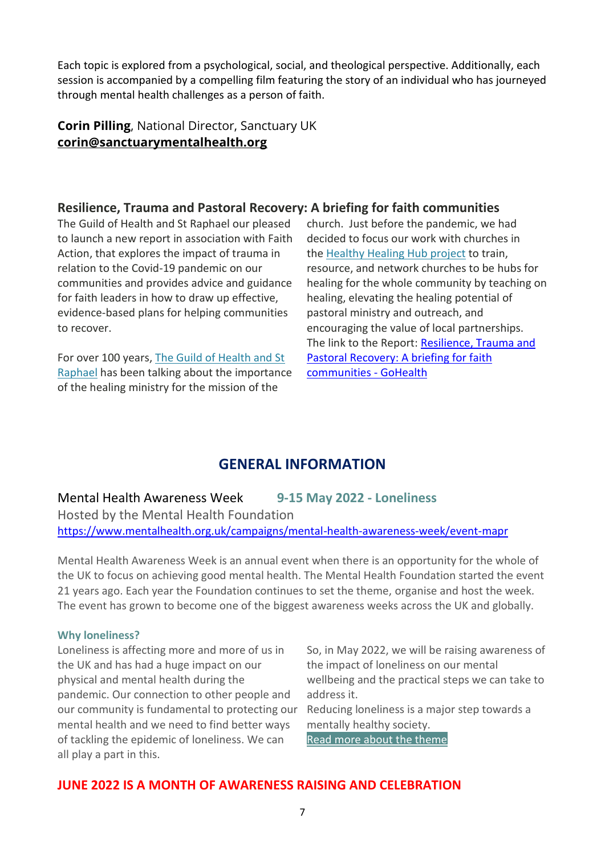Each topic is explored from a psychological, social, and theological perspective. Additionally, each session is accompanied by a compelling film featuring the story of an individual who has journeyed through mental health challenges as a person of faith.

### **Corin Pilling**, National Director, Sanctuary UK **[corin@sanctuarymentalhealth.org](mailto:corin@sanctuarymentalhealth.org)**

### **Resilience, Trauma and Pastoral Recovery: A briefing for faith communities**

The Guild of Health and St Raphael our pleased to launch a new report in association with Faith Action, that explores the impact of trauma in relation to the Covid-19 pandemic on our communities and provides advice and guidance for faith leaders in how to draw up effective, evidence-based plans for helping communities to recover.

For over 100 years, [The Guild of Health and St](https://gohealth.org.uk/)  [Raphael](https://gohealth.org.uk/) has been talking about the importance of the healing ministry for the mission of the

church. Just before the pandemic, we had decided to focus our work with churches in the [Healthy Healing Hub project](https://gohealth.org.uk/hhh/) to train, resource, and network churches to be hubs for healing for the whole community by teaching on healing, elevating the healing potential of pastoral ministry and outreach, and encouraging the value of local partnerships. The link to the Report: [Resilience, Trauma and](https://gohealth.org.uk/blog/resilience-trauma-and-pastoral-recovery-a-briefing-for-faith-communities/?category=go_health)  [Pastoral Recovery: A briefing for faith](https://gohealth.org.uk/blog/resilience-trauma-and-pastoral-recovery-a-briefing-for-faith-communities/?category=go_health)  [communities -](https://gohealth.org.uk/blog/resilience-trauma-and-pastoral-recovery-a-briefing-for-faith-communities/?category=go_health) GoHealth

# **GENERAL INFORMATION**

Mental Health Awareness Week **9-15 May 2022 - Loneliness**

Hosted by the Mental Health Foundation <https://www.mentalhealth.org.uk/campaigns/mental-health-awareness-week/event-mapr>

Mental Health Awareness Week is an annual event when there is an opportunity for the whole of the UK to focus on achieving good mental health. The Mental Health Foundation started the event 21 years ago. Each year the Foundation continues to set the theme, organise and host the week. The event has grown to become one of the biggest awareness weeks across the UK and globally.

### **Why loneliness?**

Loneliness is affecting more and more of us in the UK and has had a huge impact on our physical and mental health during the pandemic. Our connection to other people and our community is fundamental to protecting our mental health and we need to find better ways of tackling the epidemic of loneliness. We can all play a part in this.

So, in May 2022, we will be raising awareness of the impact of loneliness on our mental wellbeing and the practical steps we can take to address it.

Reducing loneliness is a major step towards a mentally healthy society.

[Read more about the theme](https://www.mentalhealth.org.uk/news/mental-health-foundation-announces-loneliness-theme-mental-health-awareness-week-2022)

# **JUNE 2022 IS A MONTH OF AWARENESS RAISING AND CELEBRATION**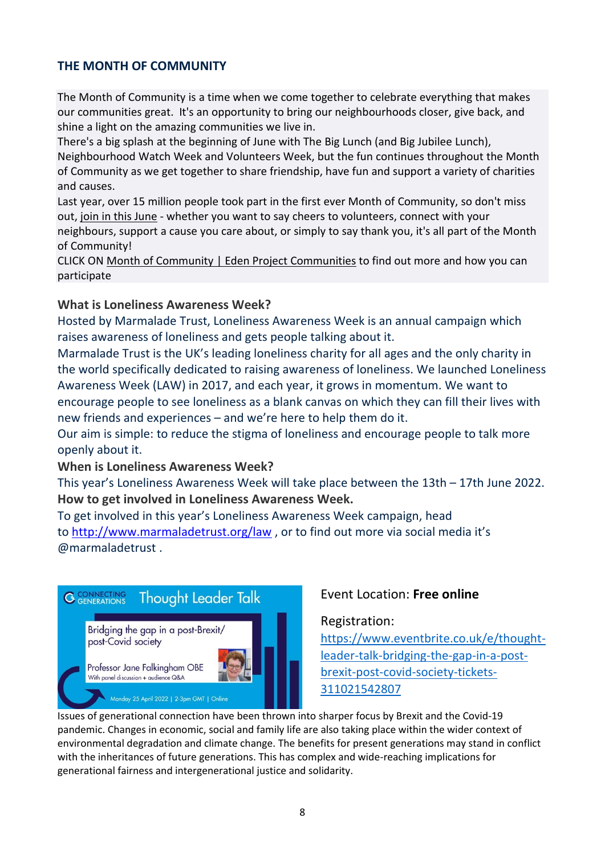### **THE MONTH OF COMMUNITY**

The Month of Community is a time when we come together to celebrate everything that makes our communities great. It's an opportunity to bring our neighbourhoods closer, give back, and shine a light on the amazing communities we live in.

There's a big splash at the beginning of June with The Big Lunch (and Big Jubilee Lunch), Neighbourhood Watch Week and Volunteers Week, but the fun continues throughout the Month of Community as we get together to share friendship, have fun and support a variety of charities and causes.

Last year, over 15 million people took part in the first ever Month of Community, so don't miss out, join in this [June](http://www.thebiglunch.com/getyourpack) - whether you want to say cheers to volunteers, connect with your neighbours, support a cause you care about, or simply to say thank you, it's all part of the Month of Community!

CLICK ON Month of Community | Eden Project [Communities](https://www.edenprojectcommunities.com/month-of-community) to find out more and how you can participate

### **What is Loneliness Awareness Week?**

Hosted by Marmalade Trust, Loneliness Awareness Week is an annual campaign which raises awareness of loneliness and gets people talking about it.

Marmalade Trust is the UK's leading loneliness charity for all ages and the only charity in the world specifically dedicated to raising awareness of loneliness. We launched Loneliness Awareness Week (LAW) in 2017, and each year, it grows in momentum. We want to encourage people to see loneliness as a blank canvas on which they can fill their lives with new friends and experiences – and we're here to help them do it.

Our aim is simple: to reduce the stigma of loneliness and encourage people to talk more openly about it.

### **When is Loneliness Awareness Week?**

This year's Loneliness Awareness Week will take place between the 13th – 17th June 2022. **How to get involved in Loneliness Awareness Week.**

To get involved in this year's Loneliness Awareness Week campaign, head to <http://www.marmaladetrust.org/law> , or to find out more via social media it's @marmaladetrust .



### Event Location: **Free online**

### Registration:

[https://www.eventbrite.co.uk/e/thought](https://www.eventbrite.co.uk/e/thought-leader-talk-bridging-the-gap-in-a-post-brexit-post-covid-society-tickets-311021542807)[leader-talk-bridging-the-gap-in-a-post](https://www.eventbrite.co.uk/e/thought-leader-talk-bridging-the-gap-in-a-post-brexit-post-covid-society-tickets-311021542807)[brexit-post-covid-society-tickets-](https://www.eventbrite.co.uk/e/thought-leader-talk-bridging-the-gap-in-a-post-brexit-post-covid-society-tickets-311021542807)[311021542807](https://www.eventbrite.co.uk/e/thought-leader-talk-bridging-the-gap-in-a-post-brexit-post-covid-society-tickets-311021542807)

Issues of generational connection have been thrown into sharper focus by Brexit and the Covid-19 pandemic. Changes in economic, social and family life are also taking place within the wider context of environmental degradation and climate change. The benefits for present generations may stand in conflict with the inheritances of future generations. This has complex and wide-reaching implications for generational fairness and intergenerational justice and solidarity.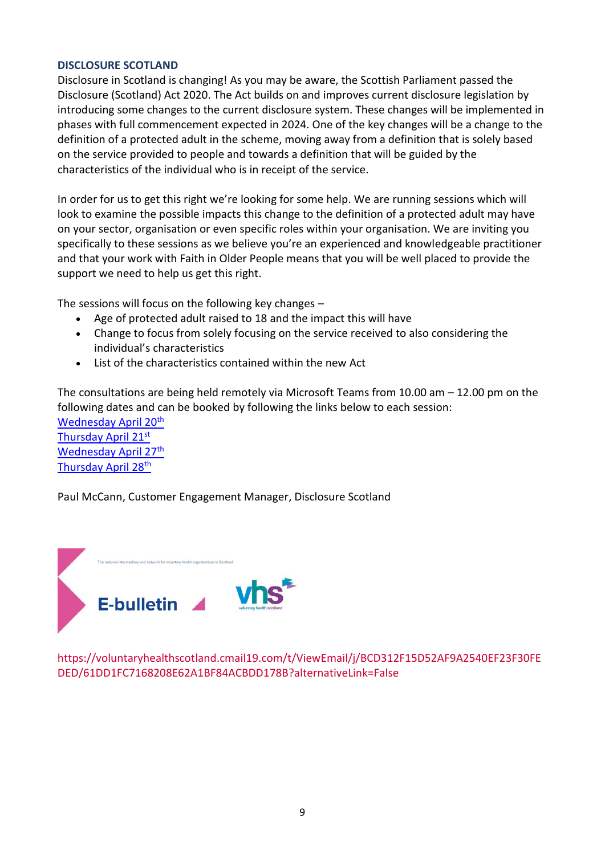#### **DISCLOSURE SCOTLAND**

Disclosure in Scotland is changing! As you may be aware, the Scottish Parliament passed the Disclosure (Scotland) Act 2020. The Act builds on and improves current disclosure legislation by introducing some changes to the current disclosure system. These changes will be implemented in phases with full commencement expected in 2024. One of the key changes will be a change to the definition of a protected adult in the scheme, moving away from a definition that is solely based on the service provided to people and towards a definition that will be guided by the characteristics of the individual who is in receipt of the service.

In order for us to get this right we're looking for some help. We are running sessions which will look to examine the possible impacts this change to the definition of a protected adult may have on your sector, organisation or even specific roles within your organisation. We are inviting you specifically to these sessions as we believe you're an experienced and knowledgeable practitioner and that your work with Faith in Older People means that you will be well placed to provide the support we need to help us get this right.

The sessions will focus on the following key changes –

- Age of protected adult raised to 18 and the impact this will have
- Change to focus from solely focusing on the service received to also considering the individual's characteristics
- List of the characteristics contained within the new Act

The consultations are being held remotely via Microsoft Teams from 10.00 am – 12.00 pm on the following dates and can be booked by following the links below to each session:

[Wednesday April 20](https://www.eventbrite.co.uk/e/311875356587)<sup>th</sup> [Thursday April 21](https://www.eventbrite.co.uk/e/314482013167)st [Wednesday April 27](https://www.eventbrite.co.uk/e/314484049257)<sup>th</sup> [Thursday April 28](https://www.eventbrite.co.uk/e/314484721267)<sup>th</sup>

Paul McCann, Customer Engagement Manager, Disclosure Scotland



https://voluntaryhealthscotland.cmail19.com/t/ViewEmail/j/BCD312F15D52AF9A2540EF23F30FE DED/61DD1FC7168208E62A1BF84ACBDD178B?alternativeLink=False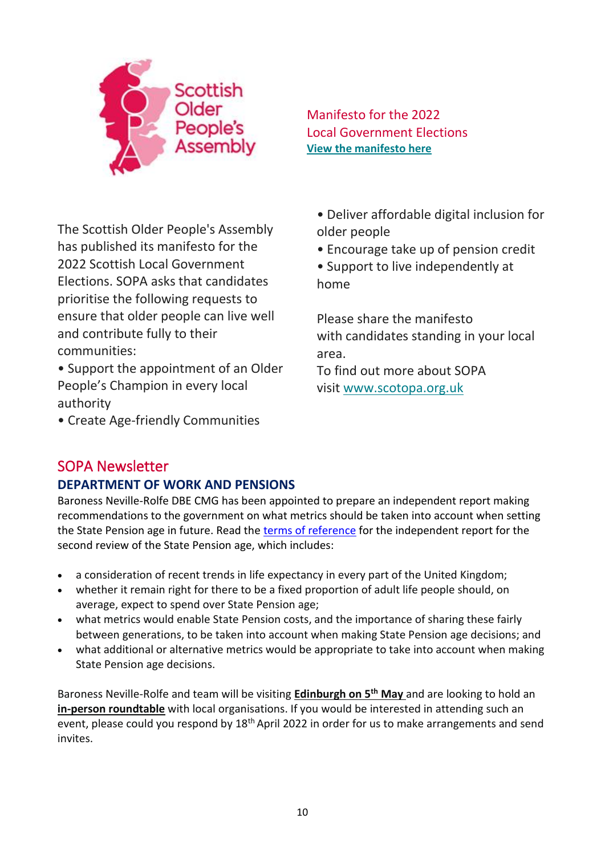

Manifesto for the 2022 Local Government Elections **[View the manifesto here](https://scotopa.us11.list-manage.com/track/click?u=18a759a0128c542c72ec5bba8&id=bae7d20585&e=4789b0991a)**

The Scottish Older People's Assembly has published its manifesto for the 2022 Scottish Local Government Elections. SOPA asks that candidates prioritise the following requests to ensure that older people can live well and contribute fully to their communities:

• Support the appointment of an Older People's Champion in every local authority

• Create Age-friendly Communities

• Deliver affordable digital inclusion for older people

• Encourage take up of pension credit

• Support to live independently at home

Please share the manifesto with candidates standing in your local area.

To find out more about SOPA visit [www.scotopa.org.uk](https://scotopa.us11.list-manage.com/track/click?u=18a759a0128c542c72ec5bba8&id=2ab6ea1dec&e=4789b0991a)

# SOPA Newsletter

# **DEPARTMENT OF WORK AND PENSIONS**

Baroness Neville-Rolfe DBE CMG has been appointed to prepare an independent report making recommendations to the government on what metrics should be taken into account when setting the State Pension age in future. Read the [terms of reference](https://www.gov.uk/government/publications/second-review-of-the-state-pension-age-independent-report-terms-of-reference) for the independent report for the second review of the State Pension age, which includes:

- a consideration of recent trends in life expectancy in every part of the United Kingdom;
- whether it remain right for there to be a fixed proportion of adult life people should, on average, expect to spend over State Pension age;
- what metrics would enable State Pension costs, and the importance of sharing these fairly between generations, to be taken into account when making State Pension age decisions; and
- what additional or alternative metrics would be appropriate to take into account when making State Pension age decisions.

Baroness Neville-Rolfe and team will be visiting **Edinburgh on 5th May** and are looking to hold an **in-person roundtable** with local organisations. If you would be interested in attending such an event, please could you respond by 18<sup>th</sup> April 2022 in order for us to make arrangements and send invites.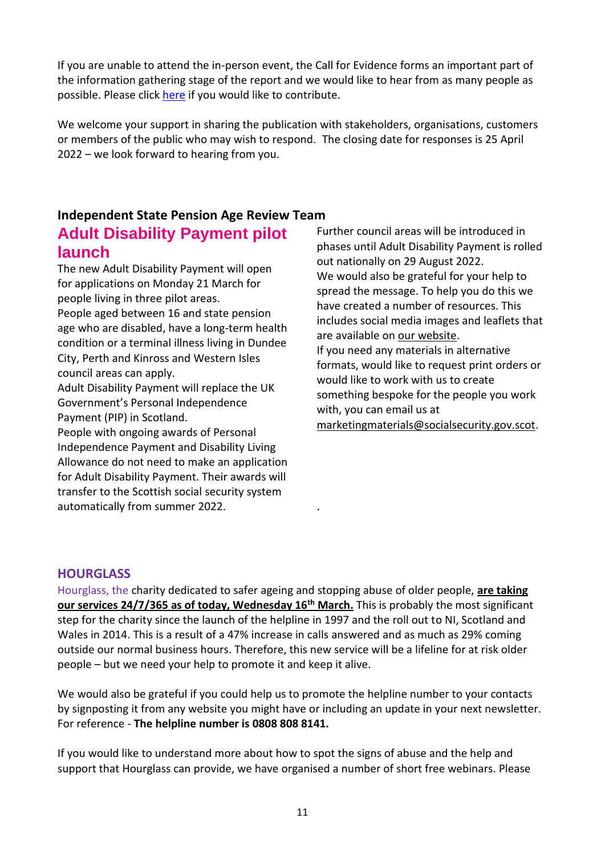If you are unable to attend the in-person event, the Call for Evidence forms an important part of the information gathering stage of the report and we would like to hear from as many people as possible. Please click [here](https://www.gov.uk/government/consultations/second-state-pension-age-review-independent-report-call-for-evidence) if you would like to contribute.

We welcome your support in sharing the publication with stakeholders, organisations, customers or members of the public who may wish to respond. The closing date for responses is 25 April 2022 – we look forward to hearing from you.

# **Independent State Pension Age Review Team Adult Disability Payment pilot launch**

The new Adult Disability Payment will open for applications on Monday 21 March for people living in three pilot areas. People aged between 16 and state pension age who are disabled, have a long-term health condition or a terminal illness living in Dundee City, Perth and Kinross and Western Isles

council areas can apply. Adult Disability Payment will replace the UK

Government's Personal Independence Payment (PIP) in Scotland.

People with ongoing awards of Personal Independence Payment and Disability Living Allowance do not need to make an application for Adult Disability Payment. Their awards will transfer to the Scottish social security system automatically from summer 2022.

Further council areas will be introduced in phases until Adult Disability Payment is rolled out nationally on 29 August 2022. We would also be grateful for your help to spread the message. To help you do this we have created a number of resources. This includes social media images and leaflets that are available on [our website.](https://scot.us19.list-manage.com/track/click?u=11fdff413e50ba7bc51890111&id=7e6ca2791d&e=58c76a50fc) If you need any materials in alternative formats, would like to request print orders or would like to work with us to create something bespoke for the people you work with, you can email us at [marketingmaterials@socialsecurity.gov.scot.](mailto:marketingmaterials@socialsecurity.gov.scot)

# **HOURGLASS**

Hourglass, the charity dedicated to safer ageing and stopping abuse of older people, **are taking our services 24/7/365 as of today, Wednesday 16th March.** This is probably the most significant step for the charity since the launch of the helpline in 1997 and the roll out to NI, Scotland and Wales in 2014. This is a result of a 47% increase in calls answered and as much as 29% coming outside our normal business hours. Therefore, this new service will be a lifeline for at risk older people – but we need your help to promote it and keep it alive.

.

We would also be grateful if you could help us to promote the helpline number to your contacts by signposting it from any website you might have or including an update in your next newsletter. For reference - **The helpline number is 0808 808 8141.** 

If you would like to understand more about how to spot the signs of abuse and the help and support that Hourglass can provide, we have organised a number of short free webinars. Please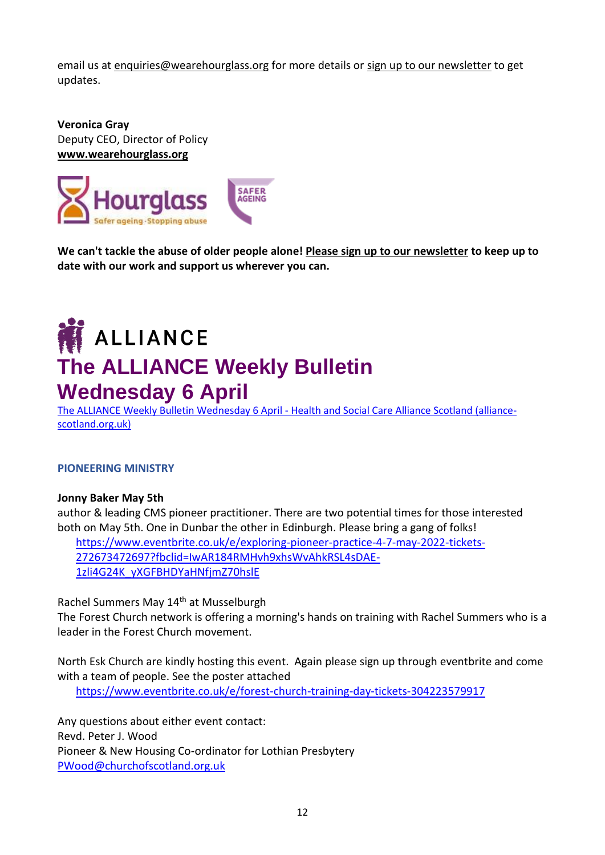email us at [enquiries@wearehourglass.org](mailto:enquiries@wearehourglass.org) for more details or [sign up to our newsletter](https://www.wearehourglass.org/newsletter-sign?_ga=2.126343309.1658854075.1647259379-87030622.1638357203) to get updates.

**Veronica Gray** Deputy CEO, Director of Policy **[www.wearehourglass.org](http://www.wearehourglass.org/)**



**We can't tackle the abuse of older people alone! [Please sign up to our newsletter](http://www.wearehourglass.org/form/newsletter-sign-up) to keep up to date with our work and support us wherever you can.**

# **ALLIANCE The ALLIANCE Weekly Bulletin Wednesday 6 April**

[The ALLIANCE Weekly Bulletin Wednesday 6 April -](https://civi.alliance-scotland.org.uk/civicrm/mailing/view?reset=1&id=a878fa36b5f37d75) Health and Social Care Alliance Scotland (alliance[scotland.org.uk\)](https://civi.alliance-scotland.org.uk/civicrm/mailing/view?reset=1&id=a878fa36b5f37d75)

#### **PIONEERING MINISTRY**

#### **Jonny Baker May 5th**

author & leading CMS pioneer practitioner. There are two potential times for those interested both on May 5th. One in Dunbar the other in Edinburgh. Please bring a gang of folks!

[https://www.eventbrite.co.uk/e/exploring-pioneer-practice-4-7-may-2022-tickets-](https://www.eventbrite.co.uk/e/exploring-pioneer-practice-4-7-may-2022-tickets-272673472697?fbclid=IwAR184RMHvh9xhsWvAhkRSL4sDAE-1zli4G24K_yXGFBHDYaHNfjmZ70hslE)[272673472697?fbclid=IwAR184RMHvh9xhsWvAhkRSL4sDAE-](https://www.eventbrite.co.uk/e/exploring-pioneer-practice-4-7-may-2022-tickets-272673472697?fbclid=IwAR184RMHvh9xhsWvAhkRSL4sDAE-1zli4G24K_yXGFBHDYaHNfjmZ70hslE)[1zli4G24K\\_yXGFBHDYaHNfjmZ70hslE](https://www.eventbrite.co.uk/e/exploring-pioneer-practice-4-7-may-2022-tickets-272673472697?fbclid=IwAR184RMHvh9xhsWvAhkRSL4sDAE-1zli4G24K_yXGFBHDYaHNfjmZ70hslE)

Rachel Summers May 14<sup>th</sup> at Musselburgh

The Forest Church network is offering a morning's hands on training with Rachel Summers who is a leader in the Forest Church movement.

North Esk Church are kindly hosting this event. Again please sign up through eventbrite and come with a team of people. See the poster attached <https://www.eventbrite.co.uk/e/forest-church-training-day-tickets-304223579917>

Any questions about either event contact: Revd. Peter J. Wood Pioneer & New Housing Co-ordinator for Lothian Presbytery [PWood@churchofscotland.org.uk](mailto:PWood@churchofscotland.org.uk)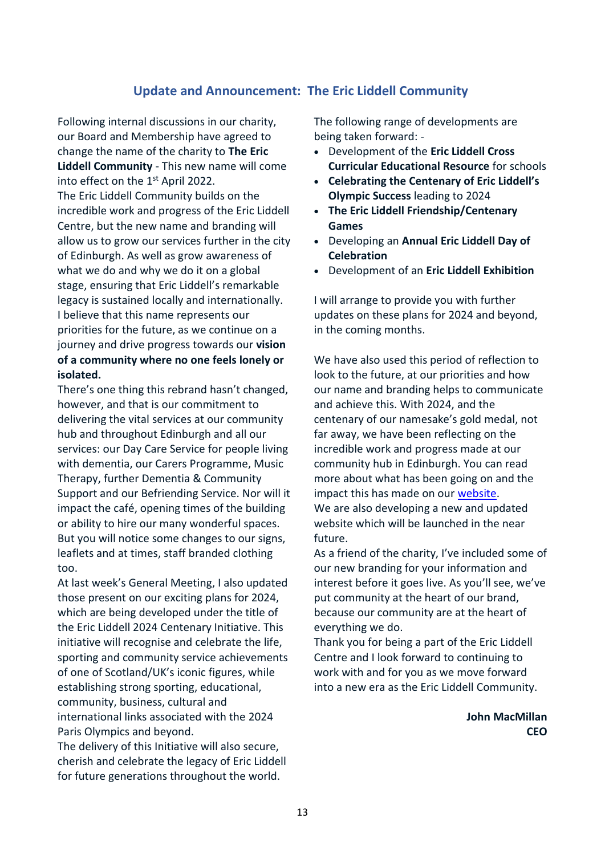### **Update and Announcement: The Eric Liddell Community**

Following internal discussions in our charity, our Board and Membership have agreed to change the name of the charity to **The Eric Liddell Community** - This new name will come into effect on the 1<sup>st</sup> April 2022. The Eric Liddell Community builds on the incredible work and progress of the Eric Liddell Centre, but the new name and branding will allow us to grow our services further in the city of Edinburgh. As well as grow awareness of what we do and why we do it on a global stage, ensuring that Eric Liddell's remarkable legacy is sustained locally and internationally. I believe that this name represents our priorities for the future, as we continue on a journey and drive progress towards our **vision of a community where no one feels lonely or isolated.**

There's one thing this rebrand hasn't changed, however, and that is our commitment to delivering the vital services at our community hub and throughout Edinburgh and all our services: our Day Care Service for people living with dementia, our Carers Programme, Music Therapy, further Dementia & Community Support and our Befriending Service. Nor will it impact the café, opening times of the building or ability to hire our many wonderful spaces. But you will notice some changes to our signs, leaflets and at times, staff branded clothing too.

At last week's General Meeting, I also updated those present on our exciting plans for 2024, which are being developed under the title of the Eric Liddell 2024 Centenary Initiative. This initiative will recognise and celebrate the life, sporting and community service achievements of one of Scotland/UK's iconic figures, while establishing strong sporting, educational, community, business, cultural and international links associated with the 2024 Paris Olympics and beyond.

The delivery of this Initiative will also secure, cherish and celebrate the legacy of Eric Liddell for future generations throughout the world.

The following range of developments are being taken forward: -

- Development of the **Eric Liddell Cross Curricular Educational Resource** for schools
- **Celebrating the Centenary of Eric Liddell's Olympic Success** leading to 2024
- **The Eric Liddell Friendship/Centenary Games**
- Developing an **Annual Eric Liddell Day of Celebration**
- Development of an **Eric Liddell Exhibition**

I will arrange to provide you with further updates on these plans for 2024 and beyond, in the coming months.

We have also used this period of reflection to look to the future, at our priorities and how our name and branding helps to communicate and achieve this. With 2024, and the centenary of our namesake's gold medal, not far away, we have been reflecting on the incredible work and progress made at our community hub in Edinburgh. You can read more about what has been going on and the impact this has made on our [website.](https://tracking.etapestry.com/t/42861291/1452907395/90445120/0/116471/?x=f3c6fd7a) We are also developing a new and updated website which will be launched in the near future.

As a friend of the charity, I've included some of our new branding for your information and interest before it goes live. As you'll see, we've put community at the heart of our brand, because our community are at the heart of everything we do.

Thank you for being a part of the Eric Liddell Centre and I look forward to continuing to work with and for you as we move forward into a new era as the Eric Liddell Community.

> **John MacMillan CEO**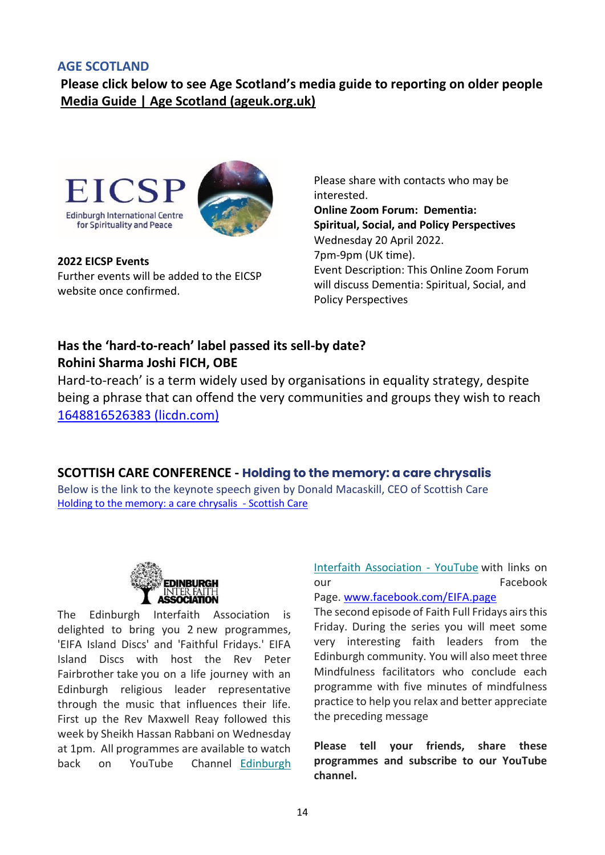### **AGE SCOTLAND**

**Please click below to see Age Scotland's media guide to reporting on older people [Media Guide | Age Scotland \(ageuk.org.uk\)](https://www.ageuk.org.uk/scotland/latest-news/media-guide-making-ageism-old-news/)**



**[2022 EICSP Events](https://eicsp.us18.list-manage.com/track/click?u=bb55b6541019a3abd2841b99c&id=6856f661ee&e=dd1e843480)** Further events will be added to the EICSP website once confirmed.

Please share with contacts who may be interested. **Online Zoom Forum: Dementia: Spiritual, Social, and Policy Perspectives** Wednesday 20 April 2022. 7pm-9pm (UK time). Event Description: This Online Zoom Forum will discuss Dementia: Spiritual, Social, and Policy Perspectives

# **Has the 'hard-to-reach' label passed its sell-by date? Rohini Sharma Joshi FICH, OBE**

Hard-to-reach' is a term widely used by organisations in equality strategy, despite being a phrase that can offend the very communities and groups they wish to reach [1648816526383 \(licdn.com\)](https://media-exp1.licdn.com/dms/document/C4E1FAQGO5t258bRuvA/feedshare-document-pdf-analyzed/0/1648816526383?e=2147483647&v=beta&t=xztz_QiTq17NrVNOpo5Xffrwccu92zex_I1aHs5JAho)

### **SCOTTISH CARE CONFERENCE - Holding to the memory: a care chrysalis**

Below is the link to the keynote speech given by Donald Macaskill, CEO of Scottish Care [Holding to the memory: a care chrysalis](https://scottishcare.org/holding-to-the-memory-a-care-chrysalis/) - Scottish Care



The Edinburgh Interfaith Association is delighted to bring you 2 new programmes, 'EIFA Island Discs' and 'Faithful Fridays.' EIFA Island Discs with host the Rev Peter Fairbrother take you on a life journey with an Edinburgh religious leader representative through the music that influences their life. First up the Rev Maxwell Reay followed this week by Sheikh Hassan Rabbani on Wednesday at 1pm. All programmes are available to watch back on YouTube Channel [Edinburgh](https://edinburghinterfaith.us4.list-manage.com/track/click?u=fefa17235eb906e3549710910&id=709b7e1357&e=72722a224e)  [Interfaith Association -](https://edinburghinterfaith.us4.list-manage.com/track/click?u=fefa17235eb906e3549710910&id=709b7e1357&e=72722a224e) YouTube with links on our **Facebook** Page. [www.facebook.com/EIFA.page](http://www.facebook.com/EIFA.page)

The second episode of Faith Full Fridays airs this Friday. During the series you will meet some very interesting faith leaders from the Edinburgh community. You will also meet three Mindfulness facilitators who conclude each programme with five minutes of mindfulness practice to help you relax and better appreciate the preceding message

**Please tell your friends, share these programmes and subscribe to our YouTube channel.**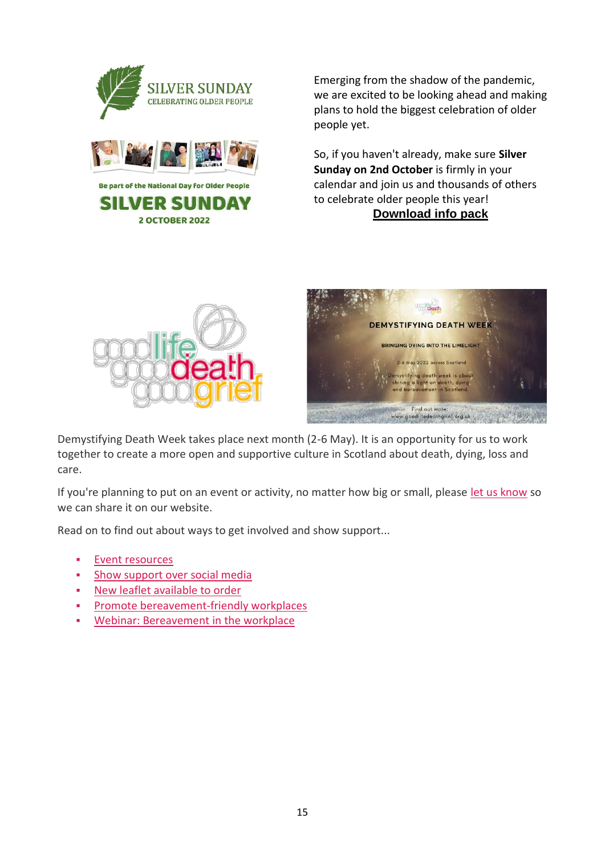

Emerging from the shadow of the pandemic, we are excited to be looking ahead and making plans to hold the biggest celebration of older people yet.

So, if you haven't already, make sure **Silver Sunday on 2nd October** is firmly in your calendar and join us and thousands of others to celebrate older people this year! **[Download info pack](https://silversunday.us16.list-manage.com/track/click?u=dc1949710abd5f49120735c40&id=caca9ad60c&e=92fa61db34)**





Demystifying Death Week takes place next month (2-6 May). It is an opportunity for us to work together to create a more open and supportive culture in Scotland about death, dying, loss and care.

If you're planning to put on an event or activity, no matter how big or small, please [let us know](https://www.goodlifedeathgrief.org.uk/go.php?id=6652) so we can share it on our website.

Read on to find out about ways to get involved and show support...

- Event resources
- **Show support over social media**
- New leaflet available to order
- Promote bereavement-friendly workplaces
- Webinar: Bereavement in the workplace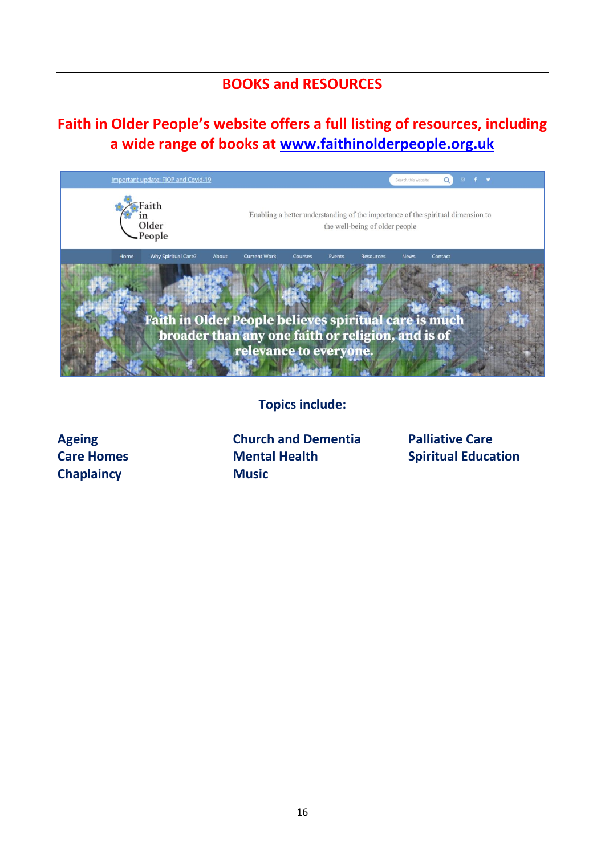# **BOOKS and RESOURCES**

# **Faith in Older People's website offers a full listing of resources, including a wide range of books at [www.faithinolderpeople.org.uk](http://www.faithinolderpeople.org.uk/)**



**Topics include:**

**Ageing Care Homes Chaplaincy**

**Church and Dementia Mental Health Music**

**Palliative Care Spiritual Education**